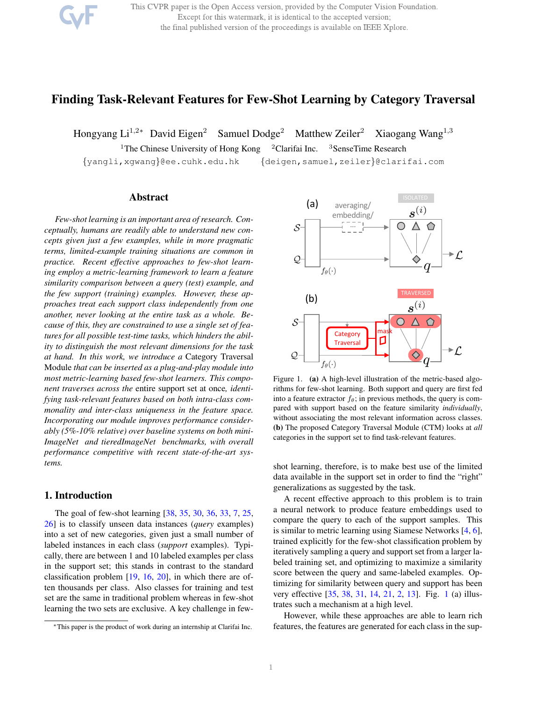This CVPR paper is the Open Access version, provided by the Computer Vision Foundation. Except for this watermark, it is identical to the accepted version; the final published version of the proceedings is available on IEEE Xplore.

# Finding Task-Relevant Features for Few-Shot Learning by Category Traversal

Hongyang Li<sup>1,2∗</sup> David Eigen<sup>2</sup> Samuel Dodge<sup>2</sup> Matthew Zeiler<sup>2</sup> Xiaogang Wang<sup>1,3</sup>

<sup>1</sup>The Chinese University of Hong Kong <sup>2</sup>Clarifai Inc. <sup>3</sup>SenseTime Research

{yangli,xgwang}@ee.cuhk.edu.hk {deigen,samuel,zeiler}@clarifai.com

## Abstract

*Few-shot learning is an important area of research. Conceptually, humans are readily able to understand new concepts given just a few examples, while in more pragmatic terms, limited-example training situations are common in practice. Recent effective approaches to few-shot learning employ a metric-learning framework to learn a feature similarity comparison between a query (test) example, and the few support (training) examples. However, these approaches treat each support class independently from one another, never looking at the entire task as a whole. Because of this, they are constrained to use a single set of features for all possible test-time tasks, which hinders the ability to distinguish the most relevant dimensions for the task at hand. In this work, we introduce a* Category Traversal Module *that can be inserted as a plug-and-play module into most metric-learning based few-shot learners. This component traverses across the* entire support set at once*, identifying task-relevant features based on both intra-class commonality and inter-class uniqueness in the feature space. Incorporating our module improves performance considerably (5%-10% relative) over baseline systems on both mini-ImageNet and tieredImageNet benchmarks, with overall performance competitive with recent state-of-the-art systems.*

## 1. Introduction

The goal of few-shot learning [38, 35, 30, 36, 33, 7, 25, 26] is to classify unseen data instances (*query* examples) into a set of new categories, given just a small number of labeled instances in each class (*support* examples). Typically, there are between 1 and 10 labeled examples per class in the support set; this stands in contrast to the standard classification problem [19, 16, 20], in which there are often thousands per class. Also classes for training and test set are the same in traditional problem whereas in few-shot learning the two sets are exclusive. A key challenge in few-



Figure 1. (a) A high-level illustration of the metric-based algorithms for few-shot learning. Both support and query are first fed into a feature extractor  $f_{\theta}$ ; in previous methods, the query is compared with support based on the feature similarity *individually*, without associating the most relevant information across classes. (b) The proposed Category Traversal Module (CTM) looks at *all* categories in the support set to find task-relevant features.

shot learning, therefore, is to make best use of the limited data available in the support set in order to find the "right" generalizations as suggested by the task.

A recent effective approach to this problem is to train a neural network to produce feature embeddings used to compare the query to each of the support samples. This is similar to metric learning using Siamese Networks [4, 6], trained explicitly for the few-shot classification problem by iteratively sampling a query and support set from a larger labeled training set, and optimizing to maximize a similarity score between the query and same-labeled examples. Optimizing for similarity between query and support has been very effective [35, 38, 31, 14, 21, 2, 13]. Fig. 1 (a) illustrates such a mechanism at a high level.

However, while these approaches are able to learn rich features, the features are generated for each class in the sup-

<sup>∗</sup>This paper is the product of work during an internship at Clarifai Inc.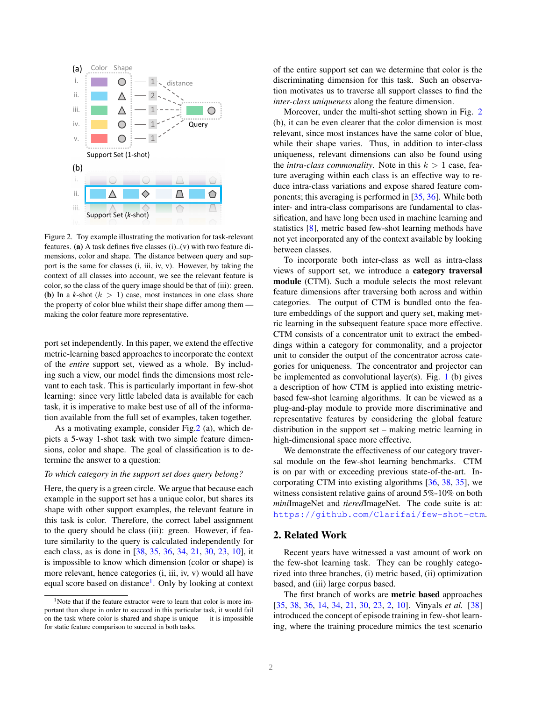

Figure 2. Toy example illustrating the motivation for task-relevant features. (a) A task defines five classes (i)..(v) with two feature dimensions, color and shape. The distance between query and support is the same for classes (i, iii, iv, v). However, by taking the context of all classes into account, we see the relevant feature is color, so the class of the query image should be that of (iii): green. (b) In a  $k$ -shot  $(k > 1)$  case, most instances in one class share the property of color blue whilst their shape differ among them making the color feature more representative.

port set independently. In this paper, we extend the effective metric-learning based approaches to incorporate the context of the *entire* support set, viewed as a whole. By including such a view, our model finds the dimensions most relevant to each task. This is particularly important in few-shot learning: since very little labeled data is available for each task, it is imperative to make best use of all of the information available from the full set of examples, taken together.

As a motivating example, consider Fig.2 (a), which depicts a 5-way 1-shot task with two simple feature dimensions, color and shape. The goal of classification is to determine the answer to a question:

#### *To which category in the support set does query belong?*

Here, the query is a green circle. We argue that because each example in the support set has a unique color, but shares its shape with other support examples, the relevant feature in this task is color. Therefore, the correct label assignment to the query should be class (iii): green. However, if feature similarity to the query is calculated independently for each class, as is done in [38, 35, 36, 34, 21, 30, 23, 10], it is impossible to know which dimension (color or shape) is more relevant, hence categories (i, iii, iv, v) would all have equal score based on distance<sup>1</sup>. Only by looking at context

of the entire support set can we determine that color is the discriminating dimension for this task. Such an observation motivates us to traverse all support classes to find the *inter-class uniqueness* along the feature dimension.

Moreover, under the multi-shot setting shown in Fig. 2 (b), it can be even clearer that the color dimension is most relevant, since most instances have the same color of blue, while their shape varies. Thus, in addition to inter-class uniqueness, relevant dimensions can also be found using the *intra-class commonality*. Note in this  $k > 1$  case, feature averaging within each class is an effective way to reduce intra-class variations and expose shared feature components; this averaging is performed in [35, 36]. While both inter- and intra-class comparisons are fundamental to classification, and have long been used in machine learning and statistics [8], metric based few-shot learning methods have not yet incorporated any of the context available by looking between classes.

To incorporate both inter-class as well as intra-class views of support set, we introduce a category traversal module (CTM). Such a module selects the most relevant feature dimensions after traversing both across and within categories. The output of CTM is bundled onto the feature embeddings of the support and query set, making metric learning in the subsequent feature space more effective. CTM consists of a concentrator unit to extract the embeddings within a category for commonality, and a projector unit to consider the output of the concentrator across categories for uniqueness. The concentrator and projector can be implemented as convolutional layer(s). Fig.  $1$  (b) gives a description of how CTM is applied into existing metricbased few-shot learning algorithms. It can be viewed as a plug-and-play module to provide more discriminative and representative features by considering the global feature distribution in the support set – making metric learning in high-dimensional space more effective.

We demonstrate the effectiveness of our category traversal module on the few-shot learning benchmarks. CTM is on par with or exceeding previous state-of-the-art. Incorporating CTM into existing algorithms [36, 38, 35], we witness consistent relative gains of around 5%-10% on both *mini*ImageNet and *tiered*ImageNet. The code suite is at: https://github.com/Clarifai/few-shot-ctm.

## 2. Related Work

Recent years have witnessed a vast amount of work on the few-shot learning task. They can be roughly categorized into three branches, (i) metric based, (ii) optimization based, and (iii) large corpus based.

The first branch of works are metric based approaches [35, 38, 36, 14, 34, 21, 30, 23, 2, 10]. Vinyals *et al.* [38] introduced the concept of episode training in few-shot learning, where the training procedure mimics the test scenario

<sup>&</sup>lt;sup>1</sup>Note that if the feature extractor were to learn that color is more important than shape in order to succeed in this particular task, it would fail on the task where color is shared and shape is unique — it is impossible for static feature comparison to succeed in both tasks.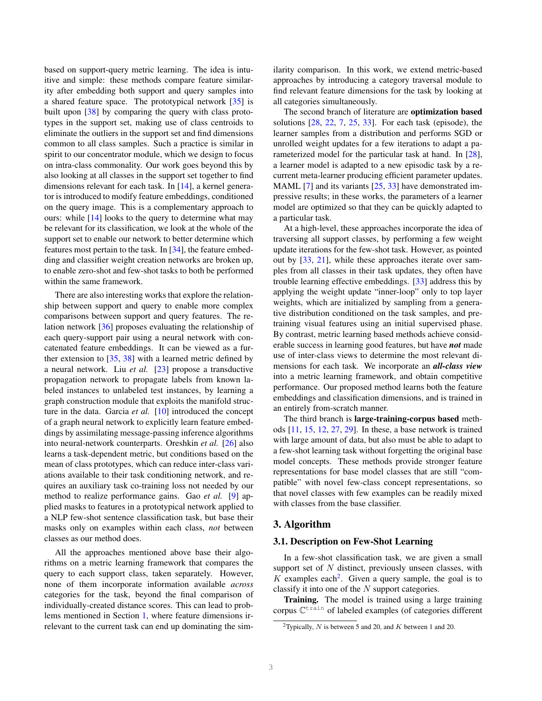based on support-query metric learning. The idea is intuitive and simple: these methods compare feature similarity after embedding both support and query samples into a shared feature space. The prototypical network [35] is built upon [38] by comparing the query with class prototypes in the support set, making use of class centroids to eliminate the outliers in the support set and find dimensions common to all class samples. Such a practice is similar in spirit to our concentrator module, which we design to focus on intra-class commonality. Our work goes beyond this by also looking at all classes in the support set together to find dimensions relevant for each task. In [14], a kernel generator is introduced to modify feature embeddings, conditioned on the query image. This is a complementary approach to ours: while  $[14]$  looks to the query to determine what may be relevant for its classification, we look at the whole of the support set to enable our network to better determine which features most pertain to the task. In [34], the feature embedding and classifier weight creation networks are broken up, to enable zero-shot and few-shot tasks to both be performed within the same framework.

There are also interesting works that explore the relationship between support and query to enable more complex comparisons between support and query features. The relation network [36] proposes evaluating the relationship of each query-support pair using a neural network with concatenated feature embeddings. It can be viewed as a further extension to  $[35, 38]$  with a learned metric defined by a neural network. Liu *et al.* [23] propose a transductive propagation network to propagate labels from known labeled instances to unlabeled test instances, by learning a graph construction module that exploits the manifold structure in the data. Garcia *et al.* [10] introduced the concept of a graph neural network to explicitly learn feature embeddings by assimilating message-passing inference algorithms into neural-network counterparts. Oreshkin *et al.* [26] also learns a task-dependent metric, but conditions based on the mean of class prototypes, which can reduce inter-class variations available to their task conditioning network, and requires an auxiliary task co-training loss not needed by our method to realize performance gains. Gao *et al.* [9] applied masks to features in a prototypical network applied to a NLP few-shot sentence classification task, but base their masks only on examples within each class, *not* between classes as our method does.

All the approaches mentioned above base their algorithms on a metric learning framework that compares the query to each support class, taken separately. However, none of them incorporate information available *across* categories for the task, beyond the final comparison of individually-created distance scores. This can lead to problems mentioned in Section 1, where feature dimensions irrelevant to the current task can end up dominating the similarity comparison. In this work, we extend metric-based approaches by introducing a category traversal module to find relevant feature dimensions for the task by looking at all categories simultaneously.

The second branch of literature are optimization based solutions  $[28, 22, 7, 25, 33]$ . For each task (episode), the learner samples from a distribution and performs SGD or unrolled weight updates for a few iterations to adapt a parameterized model for the particular task at hand. In [28], a learner model is adapted to a new episodic task by a recurrent meta-learner producing efficient parameter updates. MAML [7] and its variants [25, 33] have demonstrated impressive results; in these works, the parameters of a learner model are optimized so that they can be quickly adapted to a particular task.

At a high-level, these approaches incorporate the idea of traversing all support classes, by performing a few weight update iterations for the few-shot task. However, as pointed out by [33, 21], while these approaches iterate over samples from all classes in their task updates, they often have trouble learning effective embeddings. [33] address this by applying the weight update "inner-loop" only to top layer weights, which are initialized by sampling from a generative distribution conditioned on the task samples, and pretraining visual features using an initial supervised phase. By contrast, metric learning based methods achieve considerable success in learning good features, but have *not* made use of inter-class views to determine the most relevant dimensions for each task. We incorporate an *all-class view* into a metric learning framework, and obtain competitive performance. Our proposed method learns both the feature embeddings and classification dimensions, and is trained in an entirely from-scratch manner.

The third branch is large-training-corpus based methods [11, 15, 12, 27, 29]. In these, a base network is trained with large amount of data, but also must be able to adapt to a few-shot learning task without forgetting the original base model concepts. These methods provide stronger feature representations for base model classes that are still "compatible" with novel few-class concept representations, so that novel classes with few examples can be readily mixed with classes from the base classifier.

### 3. Algorithm

#### 3.1. Description on Few-Shot Learning

In a few-shot classification task, we are given a small support set of  $N$  distinct, previously unseen classes, with K examples each<sup>2</sup>. Given a query sample, the goal is to classify it into one of the N support categories.

Training. The model is trained using a large training corpus  $\mathbb{C}^{\text{train}}$  of labeled examples (of categories different

<sup>&</sup>lt;sup>2</sup>Typically, N is between 5 and 20, and K between 1 and 20.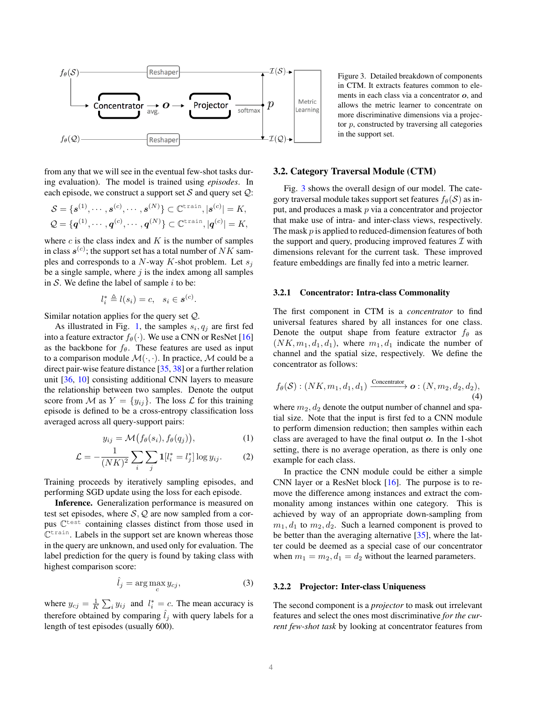

Figure 3. Detailed breakdown of components in CTM. It extracts features common to elements in each class via a concentrator o, and allows the metric learner to concentrate on more discriminative dimensions via a projector  $p$ , constructed by traversing all categories in the support set.

from any that we will see in the eventual few-shot tasks during evaluation). The model is trained using *episodes*. In each episode, we construct a support set  $S$  and query set  $Q$ :

$$
\mathcal{S} = \{\mathbf{s}^{(1)}, \cdots, \mathbf{s}^{(c)}, \cdots, \mathbf{s}^{(N)}\} \subset \mathbb{C}^{\text{train}}, |\mathbf{s}^{(c)}| = K,
$$
  

$$
\mathcal{Q} = \{\mathbf{q}^{(1)}, \cdots, \mathbf{q}^{(c)}, \cdots, \mathbf{q}^{(N)}\} \subset \mathbb{C}^{\text{train}}, |\mathbf{q}^{(c)}| = K,
$$

where  $c$  is the class index and  $K$  is the number of samples in class  $s^{(c)}$ ; the support set has a total number of  $NK$  samples and corresponds to a  $N$ -way  $K$ -shot problem. Let  $s_j$ be a single sample, where  $j$  is the index among all samples in  $S$ . We define the label of sample  $i$  to be:

$$
l_i^* \triangleq l(s_i) = c, \quad s_i \in \mathbf{s}^{(c)}.
$$

Similar notation applies for the query set Q.

As illustrated in Fig. 1, the samples  $s_i, q_j$  are first fed into a feature extractor  $f_{\theta}(\cdot)$ . We use a CNN or ResNet [16] as the backbone for  $f_\theta$ . These features are used as input to a comparison module  $\mathcal{M}(\cdot, \cdot)$ . In practice, M could be a direct pair-wise feature distance [35, 38] or a further relation unit [36, 10] consisting additional CNN layers to measure the relationship between two samples. Denote the output score from M as  $Y = \{y_{ij}\}\$ . The loss  $\mathcal L$  for this training episode is defined to be a cross-entropy classification loss averaged across all query-support pairs:

$$
y_{ij} = \mathcal{M}\big(f_{\theta}(s_i), f_{\theta}(q_j)\big),\tag{1}
$$

$$
\mathcal{L} = -\frac{1}{(NK)^2} \sum_{i} \sum_{j} \mathbf{1}[l_i^* = l_j^*] \log y_{ij}.
$$
 (2)

Training proceeds by iteratively sampling episodes, and performing SGD update using the loss for each episode.

Inference. Generalization performance is measured on test set episodes, where  $S, Q$  are now sampled from a corpus  $\mathbb{C}^{\text{test}}$  containing classes distinct from those used in C<sup>train</sup>. Labels in the support set are known whereas those in the query are unknown, and used only for evaluation. The label prediction for the query is found by taking class with highest comparison score:

$$
\hat{l}_j = \arg\max_c y_{cj},\tag{3}
$$

where  $y_{cj} = \frac{1}{K} \sum_i y_{ij}$  and  $l_i^* = c$ . The mean accuracy is therefore obtained by comparing  $l_i$  with query labels for a length of test episodes (usually 600).

#### 3.2. Category Traversal Module (CTM)

Fig. 3 shows the overall design of our model. The category traversal module takes support set features  $f_{\theta}(\mathcal{S})$  as input, and produces a mask  $p$  via a concentrator and projector that make use of intra- and inter-class views, respectively. The mask p is applied to reduced-dimension features of both the support and query, producing improved features  $\mathcal I$  with dimensions relevant for the current task. These improved feature embeddings are finally fed into a metric learner.

### 3.2.1 Concentrator: Intra-class Commonality

The first component in CTM is a *concentrator* to find universal features shared by all instances for one class. Denote the output shape from feature extractor  $f_{\theta}$  as  $(NK, m_1, d_1, d_1)$ , where  $m_1, d_1$  indicate the number of channel and the spatial size, respectively. We define the concentrator as follows:

$$
f_{\theta}(\mathcal{S}) : (NK, m_1, d_1, d_1) \xrightarrow{\text{Concentrator}} \mathbf{o} : (N, m_2, d_2, d_2),
$$
\n(4)

where  $m_2, d_2$  denote the output number of channel and spatial size. Note that the input is first fed to a CNN module to perform dimension reduction; then samples within each class are averaged to have the final output o. In the 1-shot setting, there is no average operation, as there is only one example for each class.

In practice the CNN module could be either a simple CNN layer or a ResNet block [16]. The purpose is to remove the difference among instances and extract the commonality among instances within one category. This is achieved by way of an appropriate down-sampling from  $m_1, d_1$  to  $m_2, d_2$ . Such a learned component is proved to be better than the averaging alternative [35], where the latter could be deemed as a special case of our concentrator when  $m_1 = m_2, d_1 = d_2$  without the learned parameters.

### 3.2.2 Projector: Inter-class Uniqueness

The second component is a *projector* to mask out irrelevant features and select the ones most discriminative *for the current few-shot task* by looking at concentrator features from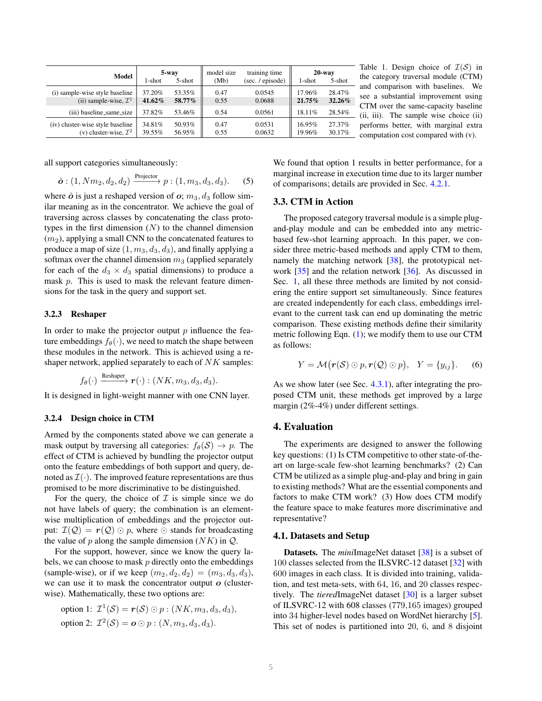| Model                                                                 | 5-way            |                  | model size   | training time    | $20$ -way        |                  |
|-----------------------------------------------------------------------|------------------|------------------|--------------|------------------|------------------|------------------|
|                                                                       | $1$ -shot        | 5-shot           | (Mb)         | (sec. / episode) | 1-shot           | $5$ -shot        |
| (i) sample-wise style baseline                                        | 37.20%           | 53.35%           | 0.47         | 0.0545           | 17.96%           | 28.47%           |
| (ii) sample-wise, $\mathcal{I}^1$                                     | 41.62%           | 58.77%           | 0.55         | 0.0688           | $21.75\%$        | 32.26%           |
| (iii) baseline_same_size                                              | 37.82%           | 53.46%           | 0.54         | 0.0561           | 18.11%           | 28.54%           |
| (iv) cluster-wise style baseline<br>(v) cluster-wise, $\mathcal{I}^2$ | 34.81%<br>39.55% | 50.93%<br>56.95% | 0.47<br>0.55 | 0.0531<br>0.0632 | 16.95%<br>19.96% | 27.37%<br>30.17% |

Table 1. Design choice of  $\mathcal{I}(\mathcal{S})$  in the category traversal module (CTM) and comparison with baselines. We see a substantial improvement using CTM over the same-capacity baseline (ii, iii). The sample wise choice (ii) performs better, with marginal extra computation cost compared with (v).

all support categories simultaneously:

$$
\hat{o} : (1, Nm_2, d_2, d_2) \xrightarrow{\text{Projector}} p : (1, m_3, d_3, d_3).
$$
 (5)

where  $\hat{o}$  is just a reshaped version of  $o$ ;  $m_3$ ,  $d_3$  follow similar meaning as in the concentrator. We achieve the goal of traversing across classes by concatenating the class prototypes in the first dimension  $(N)$  to the channel dimension  $(m<sub>2</sub>)$ , applying a small CNN to the concatenated features to produce a map of size  $(1, m_3, d_3, d_3)$ , and finally applying a softmax over the channel dimension  $m_3$  (applied separately for each of the  $d_3 \times d_3$  spatial dimensions) to produce a mask p. This is used to mask the relevant feature dimensions for the task in the query and support set.

### 3.2.3 Reshaper

In order to make the projector output  $p$  influence the feature embeddings  $f_{\theta}(\cdot)$ , we need to match the shape between these modules in the network. This is achieved using a reshaper network, applied separately to each of  $NK$  samples:

$$
f_{\theta}(\cdot) \xrightarrow{\text{Reshaper}} \mathbf{r}(\cdot) : (NK, m_3, d_3, d_3).
$$

It is designed in light-weight manner with one CNN layer.

### 3.2.4 Design choice in CTM

Armed by the components stated above we can generate a mask output by traversing all categories:  $f_{\theta}(S) \rightarrow p$ . The effect of CTM is achieved by bundling the projector output onto the feature embeddings of both support and query, denoted as  $\mathcal{I}(\cdot)$ . The improved feature representations are thus promised to be more discriminative to be distinguished.

For the query, the choice of  $\mathcal I$  is simple since we do not have labels of query; the combination is an elementwise multiplication of embeddings and the projector output:  $\mathcal{I}(\mathcal{Q}) = r(\mathcal{Q}) \odot p$ , where  $\odot$  stands for broadcasting the value of p along the sample dimension  $(NK)$  in  $Q$ .

For the support, however, since we know the query labels, we can choose to mask  $p$  directly onto the embeddings (sample-wise), or if we keep  $(m_2, d_2, d_2) = (m_3, d_3, d_3)$ , we can use it to mask the concentrator output  $o$  (clusterwise). Mathematically, these two options are:

option 1: 
$$
\mathcal{I}^1(\mathcal{S}) = r(\mathcal{S}) \odot p : (NK, m_3, d_3, d_3),
$$
  
option 2:  $\mathcal{I}^2(\mathcal{S}) = o \odot p : (N, m_3, d_3, d_3).$ 

We found that option 1 results in better performance, for a marginal increase in execution time due to its larger number of comparisons; details are provided in Sec. 4.2.1.

### 3.3. CTM in Action

The proposed category traversal module is a simple plugand-play module and can be embedded into any metricbased few-shot learning approach. In this paper, we consider three metric-based methods and apply CTM to them, namely the matching network [38], the prototypical network [35] and the relation network [36]. As discussed in Sec. 1, all these three methods are limited by not considering the entire support set simultaneously. Since features are created independently for each class, embeddings irrelevant to the current task can end up dominating the metric comparison. These existing methods define their similarity metric following Eqn.  $(1)$ ; we modify them to use our CTM as follows:

$$
Y = \mathcal{M}(\mathbf{r}(\mathcal{S}) \odot p, \mathbf{r}(\mathcal{Q}) \odot p), \quad Y = \{y_{ij}\}.
$$
 (6)

As we show later (see Sec. 4.3.1), after integrating the proposed CTM unit, these methods get improved by a large margin (2%-4%) under different settings.

### 4. Evaluation

The experiments are designed to answer the following key questions: (1) Is CTM competitive to other state-of-theart on large-scale few-shot learning benchmarks? (2) Can CTM be utilized as a simple plug-and-play and bring in gain to existing methods? What are the essential components and factors to make CTM work? (3) How does CTM modify the feature space to make features more discriminative and representative?

### 4.1. Datasets and Setup

Datasets. The *mini*ImageNet dataset [38] is a subset of 100 classes selected from the ILSVRC-12 dataset [32] with 600 images in each class. It is divided into training, validation, and test meta-sets, with 64, 16, and 20 classes respectively. The *tiered*ImageNet dataset [30] is a larger subset of ILSVRC-12 with 608 classes (779,165 images) grouped into 34 higher-level nodes based on WordNet hierarchy [5]. This set of nodes is partitioned into 20, 6, and 8 disjoint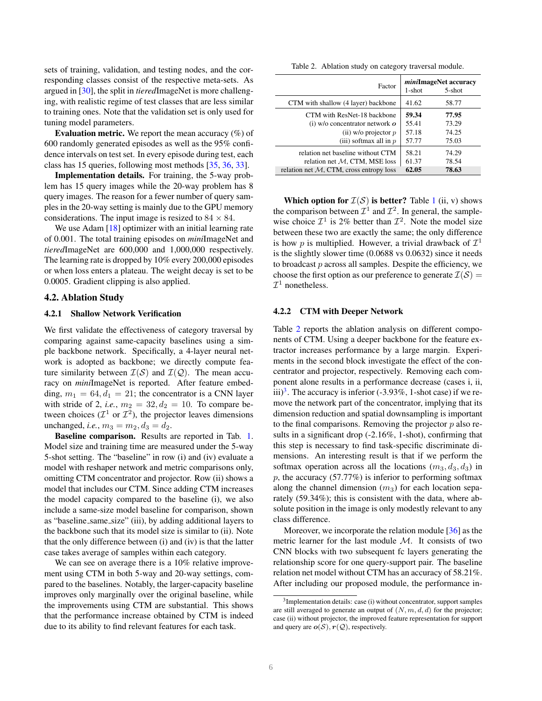sets of training, validation, and testing nodes, and the corresponding classes consist of the respective meta-sets. As argued in [30], the split in *tiered*ImageNet is more challenging, with realistic regime of test classes that are less similar to training ones. Note that the validation set is only used for tuning model parameters.

Evaluation metric. We report the mean accuracy (%) of 600 randomly generated episodes as well as the 95% confidence intervals on test set. In every episode during test, each class has 15 queries, following most methods [35, 36, 33].

Implementation details. For training, the 5-way problem has 15 query images while the 20-way problem has 8 query images. The reason for a fewer number of query samples in the 20-way setting is mainly due to the GPU memory considerations. The input image is resized to  $84 \times 84$ .

We use Adam  $[18]$  optimizer with an initial learning rate of 0.001. The total training episodes on *mini*ImageNet and *tiered*ImageNet are 600,000 and 1,000,000 respectively. The learning rate is dropped by 10% every 200,000 episodes or when loss enters a plateau. The weight decay is set to be 0.0005. Gradient clipping is also applied.

### 4.2. Ablation Study

#### 4.2.1 Shallow Network Verification

We first validate the effectiveness of category traversal by comparing against same-capacity baselines using a simple backbone network. Specifically, a 4-layer neural network is adopted as backbone; we directly compute feature similarity between  $\mathcal{I}(\mathcal{S})$  and  $\mathcal{I}(\mathcal{Q})$ . The mean accuracy on *mini*ImageNet is reported. After feature embedding,  $m_1 = 64, d_1 = 21$ ; the concentrator is a CNN layer with stride of 2, *i.e.*,  $m_2 = 32, d_2 = 10$ . To compare between choices ( $\mathcal{I}^1$  or  $\mathcal{I}^2$ ), the projector leaves dimensions unchanged, *i.e.*,  $m_3 = m_2, d_3 = d_2$ .

Baseline comparison. Results are reported in Tab. 1. Model size and training time are measured under the 5-way 5-shot setting. The "baseline" in row (i) and (iv) evaluate a model with reshaper network and metric comparisons only, omitting CTM concentrator and projector. Row (ii) shows a model that includes our CTM. Since adding CTM increases the model capacity compared to the baseline (i), we also include a same-size model baseline for comparison, shown as "baseline same size" (iii), by adding additional layers to the backbone such that its model size is similar to (ii). Note that the only difference between (i) and (iv) is that the latter case takes average of samples within each category.

We can see on average there is a 10% relative improvement using CTM in both 5-way and 20-way settings, compared to the baselines. Notably, the larger-capacity baseline improves only marginally over the original baseline, while the improvements using CTM are substantial. This shows that the performance increase obtained by CTM is indeed due to its ability to find relevant features for each task.

Table 2. Ablation study on category traversal module.

| Factor                                     | <i>mini</i> ImageNet accuracy<br>$5$ -shot<br>$1$ -shot |       |  |
|--------------------------------------------|---------------------------------------------------------|-------|--|
| CTM with shallow (4 layer) backbone        | 41.62                                                   | 58.77 |  |
| CTM with ResNet-18 backbone                | 59.34                                                   | 77.95 |  |
| (i) $w/o$ concentrator network $o$         | 55.41                                                   | 73.29 |  |
| (ii) w/o projector $p$                     | 57.18                                                   | 74.25 |  |
| (iii) softmax all in $p$                   | 57.77                                                   | 75.03 |  |
| relation net baseline without CTM          | 58.21                                                   | 74.29 |  |
| relation net $M$ , CTM, MSE loss           | 61.37                                                   | 78.54 |  |
| relation net $M$ , CTM, cross entropy loss | 62.05                                                   | 78.63 |  |

Which option for  $\mathcal{I}(\mathcal{S})$  is better? Table 1 (ii, v) shows the comparison between  $\mathcal{I}^1$  and  $\mathcal{I}^2$ . In general, the samplewise choice  $\mathcal{I}^1$  is 2% better than  $\mathcal{I}^2$ . Note the model size between these two are exactly the same; the only difference is how p is multiplied. However, a trivial drawback of  $\mathcal{I}^1$ is the slightly slower time (0.0688 vs 0.0632) since it needs to broadcast  $p$  across all samples. Despite the efficiency, we choose the first option as our preference to generate  $\mathcal{I}(\mathcal{S}) =$  $\mathcal{I}^1$  nonetheless.

### 4.2.2 CTM with Deeper Network

Table 2 reports the ablation analysis on different components of CTM. Using a deeper backbone for the feature extractor increases performance by a large margin. Experiments in the second block investigate the effect of the concentrator and projector, respectively. Removing each component alone results in a performance decrease (cases i, ii, iii)<sup>3</sup>. The accuracy is inferior (-3.93%, 1-shot case) if we remove the network part of the concentrator, implying that its dimension reduction and spatial downsampling is important to the final comparisons. Removing the projector  $p$  also results in a significant drop (-2.16%, 1-shot), confirming that this step is necessary to find task-specific discriminate dimensions. An interesting result is that if we perform the softmax operation across all the locations  $(m_3, d_3, d_3)$  in  $p$ , the accuracy (57.77%) is inferior to performing softmax along the channel dimension  $(m_3)$  for each location separately (59.34%); this is consistent with the data, where absolute position in the image is only modestly relevant to any class difference.

Moreover, we incorporate the relation module [36] as the metric learner for the last module  $M$ . It consists of two CNN blocks with two subsequent fc layers generating the relationship score for one query-support pair. The baseline relation net model without CTM has an accuracy of 58.21%. After including our proposed module, the performance in-

<sup>&</sup>lt;sup>3</sup>Implementation details: case (i) without concentrator, support samples are still averaged to generate an output of  $(N, m, d, d)$  for the projector; case (ii) without projector, the improved feature representation for support and query are  $o(S)$ ,  $r(Q)$ , respectively.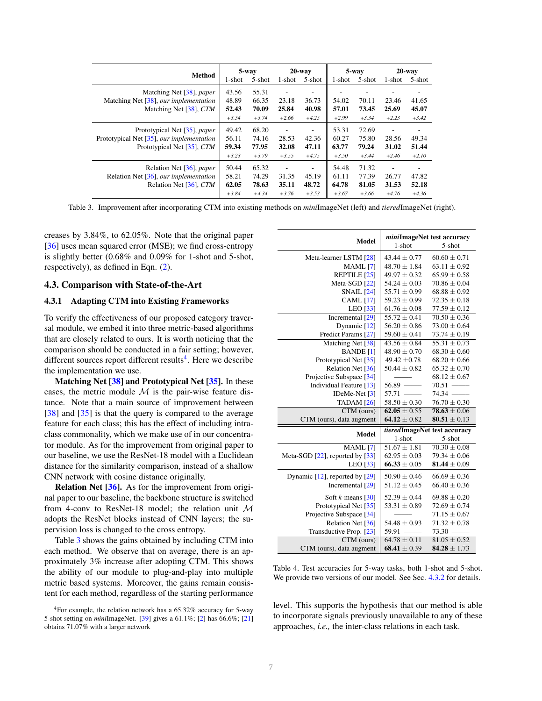|                                                                 | $5$ -way |         | $20$ -way |                          | $5$ -way |         | $20$ -way |         |
|-----------------------------------------------------------------|----------|---------|-----------|--------------------------|----------|---------|-----------|---------|
| Method                                                          | 1-shot   | 5-shot  | 1-shot    | 5-shot                   | 1-shot   | 5-shot  | 1-shot    | 5-shot  |
| Matching Net [38], paper                                        | 43.56    | 55.31   | ٠         | $\overline{\phantom{a}}$ |          | ۰       |           |         |
| Matching Net [38], our implementation<br>Matching Net [38], CTM | 48.89    | 66.35   | 23.18     | 36.73                    | 54.02    | 70.11   | 23.46     | 41.65   |
|                                                                 | 52.43    | 70.09   | 25.84     | 40.98                    | 57.01    | 73.45   | 25.69     | 45.07   |
|                                                                 | $+3.54$  | $+3.74$ | $+2.66$   | $+4.25$                  | $+2.99$  | $+3.34$ | $+2.23$   | $+3.42$ |
| Prototypical Net [35], paper                                    | 49.42    | 68.20   | ٠         | $\overline{\phantom{a}}$ | 53.31    | 72.69   | ٠         |         |
| Prototypical Net [35], our implementation                       | 56.11    | 74.16   | 28.53     | 42.36                    | 60.27    | 75.80   | 28.56     | 49.34   |
| Prototypical Net [ $35$ ], CTM                                  | 59.34    | 77.95   | 32.08     | 47.11                    | 63.77    | 79.24   | 31.02     | 51.44   |
|                                                                 | $+3.23$  | $+3.79$ | $+3.55$   | $+4.75$                  | $+3.50$  | $+3.44$ | $+2.46$   | $+2.10$ |
| Relation Net [36], paper                                        | 50.44    | 65.32   | ٠         | $\overline{\phantom{a}}$ | 54.48    | 71.32   | ٠         |         |
| Relation Net [36], our implementation                           | 58.21    | 74.29   | 31.35     | 45.19                    | 61.11    | 77.39   | 26.77     | 47.82   |
| Relation Net [36], CTM                                          | 62.05    | 78.63   | 35.11     | 48.72                    | 64.78    | 81.05   | 31.53     | 52.18   |
|                                                                 | $+3.84$  | $+4.34$ | $+3.76$   | $+3.53$                  | $+3.67$  | $+3.66$ | $+4.76$   | $+4.36$ |

Table 3. Improvement after incorporating CTM into existing methods on *mini*ImageNet (left) and *tiered*ImageNet (right).

creases by 3.84%, to 62.05%. Note that the original paper [36] uses mean squared error (MSE); we find cross-entropy is slightly better (0.68% and 0.09% for 1-shot and 5-shot, respectively), as defined in Eqn. (2).

### 4.3. Comparison with State-of-the-Art

### 4.3.1 Adapting CTM into Existing Frameworks

To verify the effectiveness of our proposed category traversal module, we embed it into three metric-based algorithms that are closely related to ours. It is worth noticing that the comparison should be conducted in a fair setting; however, different sources report different results<sup>4</sup>. Here we describe the implementation we use.

Matching Net [38] and Prototypical Net [35]. In these cases, the metric module  $M$  is the pair-wise feature distance. Note that a main source of improvement between [38] and [35] is that the query is compared to the average feature for each class; this has the effect of including intraclass commonality, which we make use of in our concentrator module. As for the improvement from original paper to our baseline, we use the ResNet-18 model with a Euclidean distance for the similarity comparison, instead of a shallow CNN network with cosine distance originally.

Relation Net [36]. As for the improvement from original paper to our baseline, the backbone structure is switched from 4-conv to ResNet-18 model; the relation unit M adopts the ResNet blocks instead of CNN layers; the supervision loss is changed to the cross entropy.

Table 3 shows the gains obtained by including CTM into each method. We observe that on average, there is an approximately 3% increase after adopting CTM. This shows the ability of our module to plug-and-play into multiple metric based systems. Moreover, the gains remain consistent for each method, regardless of the starting performance

| <b>Model</b>                            | miniImageNet test accuracy<br>1-shot<br>$5-$ shot      |                  |  |  |
|-----------------------------------------|--------------------------------------------------------|------------------|--|--|
| Meta-learner LSTM [28]                  | $43.44 \pm 0.77$                                       | $60.60 \pm 0.71$ |  |  |
| MAML <sup>[7]</sup>                     | $48.70 + 1.84$                                         | $63.11 \pm 0.92$ |  |  |
| REPTILE [25]                            | $49.97 \pm 0.32$                                       | $65.99 \pm 0.58$ |  |  |
| Meta-SGD [22]                           | $54.24 \pm 0.03$                                       | $70.86 \pm 0.04$ |  |  |
| <b>SNAIL</b> [24]                       | $55.71 \pm 0.99$                                       | $68.88 \pm 0.92$ |  |  |
| <b>CAML</b> [17]                        | $59.23 \pm 0.99$                                       | $72.35 \pm 0.18$ |  |  |
| LEO [33]                                | $61.76 \pm 0.08$                                       | $77.59 \pm 0.12$ |  |  |
| Incremental [29]                        | $55.72 \pm 0.41$                                       | $70.50 \pm 0.36$ |  |  |
| Dynamic [12]                            | $56.20 \pm 0.86$                                       | $73.00 \pm 0.64$ |  |  |
| Predict Params [27]                     | $59.60 \pm 0.41$                                       | $73.74 \pm 0.19$ |  |  |
| Matching Net [38]                       | $43.56 \pm 0.84$                                       | $55.31 \pm 0.73$ |  |  |
| <b>BANDE</b> [1]                        | $48.90 \pm 0.70$                                       | $68.30 \pm 0.60$ |  |  |
| Prototypical Net [35]                   | $49.42 \pm 0.78$                                       | $68.20 + 0.66$   |  |  |
| Relation Net [36]                       | $50.44 \pm 0.82$                                       | $65.32 \pm 0.70$ |  |  |
| Projective Subspace [34]                |                                                        | $68.12 \pm 0.67$ |  |  |
| Individual Feature [13]                 | $56.89$ —                                              | $70.51$ —        |  |  |
| IDeMe-Net [3]                           | $57.71$ —                                              | $74.34$ —        |  |  |
| TADAM $[26]$                            | $58.50 \pm 0.30$                                       | $76.70 \pm 0.30$ |  |  |
| CTM (ours)                              | $62.05 + 0.55$                                         | $78.63 + 0.06$   |  |  |
| CTM (ours), data augment                | 64.12 $\pm$ 0.82                                       | $80.51 \pm 0.13$ |  |  |
| <b>Model</b>                            | tieredImageNet test accuracy<br>$1$ -shot<br>$5-$ shot |                  |  |  |
| MAML <sup>[7]</sup>                     | $51.67 \pm 1.81$                                       | $70.30 \pm 0.08$ |  |  |
| Meta-SGD $[22]$ , reported by $[33]$    | $62.95 \pm 0.03$                                       | $79.34 \pm 0.06$ |  |  |
| LEO [33]                                | $66.33 \pm 0.05$                                       | 81.44 $\pm$ 0.09 |  |  |
| Dynamic [12], reported by [29]          | $50.90 + 0.46$                                         | $66.69 + 0.36$   |  |  |
| Incremental [29]                        | $51.12 \pm 0.45$                                       | $66.40 \pm 0.36$ |  |  |
| Soft <i>k</i> -means $\lceil 30 \rceil$ | $52.39 \pm 0.44$                                       | $69.88 + 0.20$   |  |  |
| Prototypical Net [35]                   | $53.31 \pm 0.89$                                       | $72.69 \pm 0.74$ |  |  |
| Projective Subspace [34]                |                                                        | $71.15 \pm 0.67$ |  |  |
| Relation Net [36]                       | $54.48 + 0.93$                                         | $71.32 + 0.78$   |  |  |
| Transductive Prop. [23]                 | $59.91$ —                                              | $73.30$ —        |  |  |
| $CTM$ (ours)                            | $64.78 + 0.11$                                         | $81.05 + 0.52$   |  |  |
| CTM (ours), data augment                | 68.41 $\pm$ 0.39                                       | $84.28 \pm 1.73$ |  |  |

Table 4. Test accuracies for 5-way tasks, both 1-shot and 5-shot. We provide two versions of our model. See Sec. 4.3.2 for details.

level. This supports the hypothesis that our method is able to incorporate signals previously unavailable to any of these approaches, *i.e.,* the inter-class relations in each task.

<sup>4</sup>For example, the relation network has a 65.32% accuracy for 5-way 5-shot setting on *mini*ImageNet. [39] gives a 61.1%; [2] has 66.6%; [21] obtains 71.07% with a larger network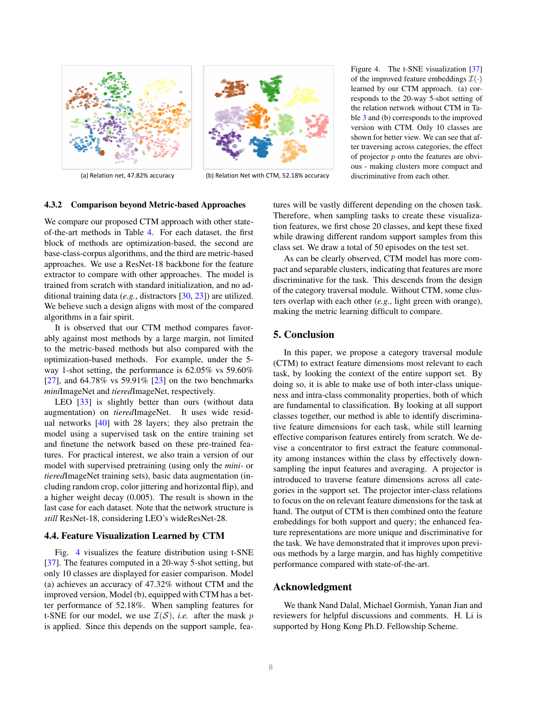



(a) Relation net, 47.82% accuracy (b) Relation Net with CTM, 52.18% accuracy

Figure 4. The t-SNE visualization [37] of the improved feature embeddings  $\mathcal{I}(\cdot)$ learned by our CTM approach. (a) corresponds to the 20-way 5-shot setting of the relation network without CTM in Table 3 and (b) corresponds to the improved version with CTM. Only 10 classes are shown for better view. We can see that after traversing across categories, the effect of projector  $p$  onto the features are obvious - making clusters more compact and discriminative from each other.

### 4.3.2 Comparison beyond Metric-based Approaches

We compare our proposed CTM approach with other stateof-the-art methods in Table 4. For each dataset, the first block of methods are optimization-based, the second are base-class-corpus algorithms, and the third are metric-based approaches. We use a ResNet-18 backbone for the feature extractor to compare with other approaches. The model is trained from scratch with standard initialization, and no additional training data (*e.g.*, distractors [30, 23]) are utilized. We believe such a design aligns with most of the compared algorithms in a fair spirit.

It is observed that our CTM method compares favorably against most methods by a large margin, not limited to the metric-based methods but also compared with the optimization-based methods. For example, under the 5 way 1-shot setting, the performance is 62.05% vs 59.60% [27], and 64.78% vs 59.91% [23] on the two benchmarks *mini*ImageNet and *tiered*ImageNet, respectively.

LEO [33] is slightly better than ours (without data augmentation) on *tiered*ImageNet. It uses wide residual networks [40] with 28 layers; they also pretrain the model using a supervised task on the entire training set and finetune the network based on these pre-trained features. For practical interest, we also train a version of our model with supervised pretraining (using only the *mini-* or *tiered*ImageNet training sets), basic data augmentation (including random crop, color jittering and horizontal flip), and a higher weight decay (0.005). The result is shown in the last case for each dataset. Note that the network structure is *still* ResNet-18, considering LEO's wideResNet-28.

## 4.4. Feature Visualization Learned by CTM

Fig. 4 visualizes the feature distribution using t-SNE [37]. The features computed in a 20-way 5-shot setting, but only 10 classes are displayed for easier comparison. Model (a) achieves an accuracy of 47.32% without CTM and the improved version, Model (b), equipped with CTM has a better performance of 52.18%. When sampling features for t-SNE for our model, we use  $\mathcal{I}(\mathcal{S})$ , *i.e.* after the mask p is applied. Since this depends on the support sample, features will be vastly different depending on the chosen task. Therefore, when sampling tasks to create these visualization features, we first chose 20 classes, and kept these fixed while drawing different random support samples from this class set. We draw a total of 50 episodes on the test set.

As can be clearly observed, CTM model has more compact and separable clusters, indicating that features are more discriminative for the task. This descends from the design of the category traversal module. Without CTM, some clusters overlap with each other (*e.g.*, light green with orange), making the metric learning difficult to compare.

### 5. Conclusion

In this paper, we propose a category traversal module (CTM) to extract feature dimensions most relevant to each task, by looking the context of the entire support set. By doing so, it is able to make use of both inter-class uniqueness and intra-class commonality properties, both of which are fundamental to classification. By looking at all support classes together, our method is able to identify discriminative feature dimensions for each task, while still learning effective comparison features entirely from scratch. We devise a concentrator to first extract the feature commonality among instances within the class by effectively downsampling the input features and averaging. A projector is introduced to traverse feature dimensions across all categories in the support set. The projector inter-class relations to focus on the on relevant feature dimensions for the task at hand. The output of CTM is then combined onto the feature embeddings for both support and query; the enhanced feature representations are more unique and discriminative for the task. We have demonstrated that it improves upon previous methods by a large margin, and has highly competitive performance compared with state-of-the-art.

## Acknowledgment

We thank Nand Dalal, Michael Gormish, Yanan Jian and reviewers for helpful discussions and comments. H. Li is supported by Hong Kong Ph.D. Fellowship Scheme.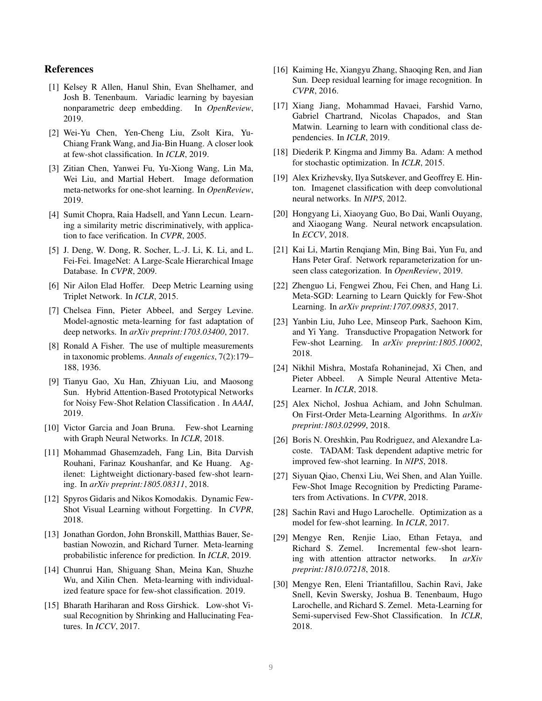### References

- [1] Kelsey R Allen, Hanul Shin, Evan Shelhamer, and Josh B. Tenenbaum. Variadic learning by bayesian nonparametric deep embedding. In *OpenReview*, 2019.
- [2] Wei-Yu Chen, Yen-Cheng Liu, Zsolt Kira, Yu-Chiang Frank Wang, and Jia-Bin Huang. A closer look at few-shot classification. In *ICLR*, 2019.
- [3] Zitian Chen, Yanwei Fu, Yu-Xiong Wang, Lin Ma, Wei Liu, and Martial Hebert. Image deformation meta-networks for one-shot learning. In *OpenReview*, 2019.
- [4] Sumit Chopra, Raia Hadsell, and Yann Lecun. Learning a similarity metric discriminatively, with application to face verification. In *CVPR*, 2005.
- [5] J. Deng, W. Dong, R. Socher, L.-J. Li, K. Li, and L. Fei-Fei. ImageNet: A Large-Scale Hierarchical Image Database. In *CVPR*, 2009.
- [6] Nir Ailon Elad Hoffer. Deep Metric Learning using Triplet Network. In *ICLR*, 2015.
- [7] Chelsea Finn, Pieter Abbeel, and Sergey Levine. Model-agnostic meta-learning for fast adaptation of deep networks. In *arXiv preprint:1703.03400*, 2017.
- [8] Ronald A Fisher. The use of multiple measurements in taxonomic problems. *Annals of eugenics*, 7(2):179– 188, 1936.
- [9] Tianyu Gao, Xu Han, Zhiyuan Liu, and Maosong Sun. Hybrid Attention-Based Prototypical Networks for Noisy Few-Shot Relation Classification . In *AAAI*, 2019.
- [10] Victor Garcia and Joan Bruna. Few-shot Learning with Graph Neural Networks. In *ICLR*, 2018.
- [11] Mohammad Ghasemzadeh, Fang Lin, Bita Darvish Rouhani, Farinaz Koushanfar, and Ke Huang. Agilenet: Lightweight dictionary-based few-shot learning. In *arXiv preprint:1805.08311*, 2018.
- [12] Spyros Gidaris and Nikos Komodakis. Dynamic Few-Shot Visual Learning without Forgetting. In *CVPR*, 2018.
- [13] Jonathan Gordon, John Bronskill, Matthias Bauer, Sebastian Nowozin, and Richard Turner. Meta-learning probabilistic inference for prediction. In *ICLR*, 2019.
- [14] Chunrui Han, Shiguang Shan, Meina Kan, Shuzhe Wu, and Xilin Chen. Meta-learning with individualized feature space for few-shot classification. 2019.
- [15] Bharath Hariharan and Ross Girshick. Low-shot Visual Recognition by Shrinking and Hallucinating Features. In *ICCV*, 2017.
- [16] Kaiming He, Xiangyu Zhang, Shaoqing Ren, and Jian Sun. Deep residual learning for image recognition. In *CVPR*, 2016.
- [17] Xiang Jiang, Mohammad Havaei, Farshid Varno, Gabriel Chartrand, Nicolas Chapados, and Stan Matwin. Learning to learn with conditional class dependencies. In *ICLR*, 2019.
- [18] Diederik P. Kingma and Jimmy Ba. Adam: A method for stochastic optimization. In *ICLR*, 2015.
- [19] Alex Krizhevsky, Ilya Sutskever, and Geoffrey E. Hinton. Imagenet classification with deep convolutional neural networks. In *NIPS*, 2012.
- [20] Hongyang Li, Xiaoyang Guo, Bo Dai, Wanli Ouyang, and Xiaogang Wang. Neural network encapsulation. In *ECCV*, 2018.
- [21] Kai Li, Martin Renqiang Min, Bing Bai, Yun Fu, and Hans Peter Graf. Network reparameterization for unseen class categorization. In *OpenReview*, 2019.
- [22] Zhenguo Li, Fengwei Zhou, Fei Chen, and Hang Li. Meta-SGD: Learning to Learn Quickly for Few-Shot Learning. In *arXiv preprint:1707.09835*, 2017.
- [23] Yanbin Liu, Juho Lee, Minseop Park, Saehoon Kim, and Yi Yang. Transductive Propagation Network for Few-shot Learning. In *arXiv preprint:1805.10002*, 2018.
- [24] Nikhil Mishra, Mostafa Rohaninejad, Xi Chen, and Pieter Abbeel. A Simple Neural Attentive Meta-Learner. In *ICLR*, 2018.
- [25] Alex Nichol, Joshua Achiam, and John Schulman. On First-Order Meta-Learning Algorithms. In *arXiv preprint:1803.02999*, 2018.
- [26] Boris N. Oreshkin, Pau Rodriguez, and Alexandre Lacoste. TADAM: Task dependent adaptive metric for improved few-shot learning. In *NIPS*, 2018.
- [27] Siyuan Qiao, Chenxi Liu, Wei Shen, and Alan Yuille. Few-Shot Image Recognition by Predicting Parameters from Activations. In *CVPR*, 2018.
- [28] Sachin Ravi and Hugo Larochelle. Optimization as a model for few-shot learning. In *ICLR*, 2017.
- [29] Mengye Ren, Renjie Liao, Ethan Fetaya, and Richard S. Zemel. Incremental few-shot learning with attention attractor networks. In *arXiv preprint:1810.07218*, 2018.
- [30] Mengye Ren, Eleni Triantafillou, Sachin Ravi, Jake Snell, Kevin Swersky, Joshua B. Tenenbaum, Hugo Larochelle, and Richard S. Zemel. Meta-Learning for Semi-supervised Few-Shot Classification. In *ICLR*, 2018.